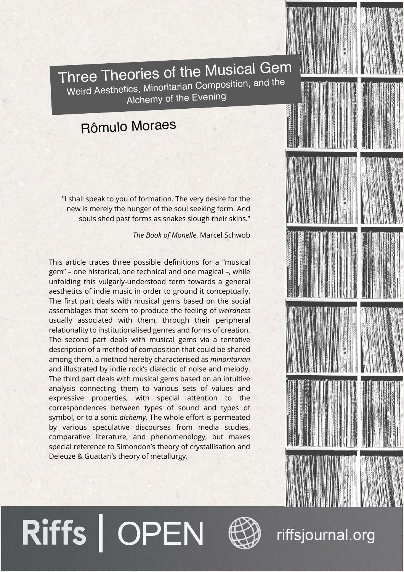

Weird Aesthetics, Minoritarian Composition, and the Alchemy of the Evening

## Rômulo Moraes

"I shall speak to you of formation. The very desire for the new is merely the hunger of the soul seeking form. And souls shed past forms as snakes slough their skins."

*The Book of Monelle*, Marcel Schwob

This article traces three possible definitions for a "musical gem" – one historical, one technical and one magical –, while unfolding this vulgarly-understood term towards a general aesthetics of indie music in order to ground it conceptually. The first part deals with musical gems based on the social assemblages that seem to produce the feeling of *weirdness* usually associated with them, through their peripheral relationality to institutionalised genres and forms of creation. The second part deals with musical gems via a tentative description of a method of composition that could be shared among them, a method hereby characterised as *minoritarian* and illustrated by indie rock's dialectic of noise and melody. The third part deals with musical gems based on an intuitive analysis connecting them to various sets of values and expressive properties, with special attention to the correspondences between types of sound and types of symbol, or to a sonic *alchemy*. The whole effort is permeated by various speculative discourses from media studies, comparative literature, and phenomenology, but makes special reference to Simondon's theory of crystallisation and Deleuze & Guattari's theory of metallurgy.

Riffs | OPEN



# riffsjournal.org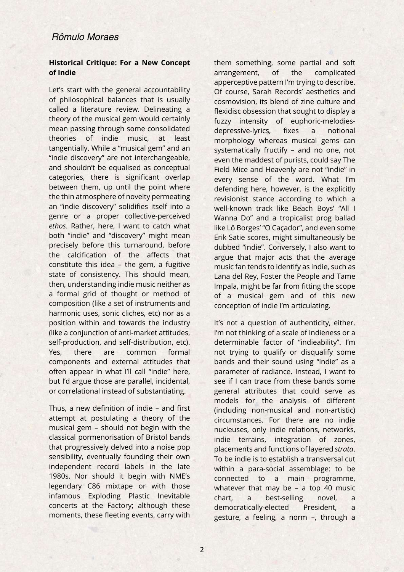#### **Historical Critique: For a New Concept of Indie**

Let's start with the general accountability of philosophical balances that is usually called a literature review. Delineating a theory of the musical gem would certainly mean passing through some consolidated theories of indie music, at least tangentially. While a "musical gem" and an "indie discovery" are not interchangeable, and shouldn't be equalised as conceptual categories, there is significant overlap between them, up until the point where the thin atmosphere of novelty permeating an "indie discovery" solidifies itself into a genre or a proper collective-perceived *ethos*. Rather, here, I want to catch what both "indie" and "discovery" might mean precisely before this turnaround, before the calcification of the affects that constitute this idea – the gem, a fugitive state of consistency. This should mean, then, understanding indie music neither as a formal grid of thought or method of composition (like a set of instruments and harmonic uses, sonic cliches, etc) nor as a position within and towards the industry (like a conjunction of anti-market attitudes, self-production, and self-distribution, etc). Yes, there are common formal components and external attitudes that often appear in what I'll call "indie" here, but I'd argue those are parallel, incidental, or correlational instead of substantiating.

Thus, a new definition of indie – and first attempt at postulating a theory of the musical gem – should not begin with the classical pormenorisation of Bristol bands that progressively delved into a noise pop sensibility, eventually founding their own independent record labels in the late 1980s. Nor should it begin with NME's legendary C86 mixtape or with those infamous Exploding Plastic Inevitable concerts at the Factory; although these moments, these fleeting events, carry with

them something, some partial and soft arrangement, of the complicated apperceptive pattern I'm trying to describe. Of course, Sarah Records' aesthetics and cosmovision, its blend of zine culture and flexidisc obsession that sought to display a fuzzy intensity of euphoric-melodiesdepressive-lyrics, fixes a notional morphology whereas musical gems can systematically fructify – and no one, not even the maddest of purists, could say The Field Mice and Heavenly are not "indie" in every sense of the word. What I'm defending here, however, is the explicitly revisionist stance according to which a well-known track like Beach Boys' "All I Wanna Do" and a tropicalist prog ballad like Lô Borges' "O Caçador", and even some Erik Satie scores, might simultaneously be dubbed "indie". Conversely, I also want to argue that major acts that the average music fan tends to identify as indie, such as Lana del Rey, Foster the People and Tame Impala, might be far from fitting the scope of a musical gem and of this new conception of indie I'm articulating.

It's not a question of authenticity, either. I'm not thinking of a scale of indieness or a determinable factor of "indieability". I'm not trying to qualify or disqualify some bands and their sound using "indie" as a parameter of radiance. Instead, I want to see if I can trace from these bands some general attributes that could serve as models for the analysis of different (including non-musical and non-artistic) circumstances. For there are no indie nucleuses, only indie relations, networks, indie terrains, integration of zones, placements and functions of layered *strata*. To be indie is to establish a transversal cut within a para-social assemblage: to be connected to a main programme, whatever that may be – a top 40 music chart, a best-selling novel, a democratically-elected President, a gesture, a feeling, a norm –, through a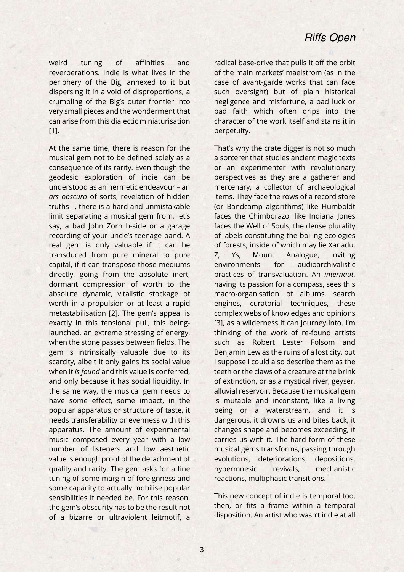weird tuning of affinities and reverberations. Indie is what lives in the periphery of the Big, annexed to it but dispersing it in a void of disproportions, a crumbling of the Big's outer frontier into very small pieces and the wonderment that can arise from this dialectic miniaturisation [11].

At the same time, there is reason for the musical gem not to be defined solely as a consequence of its rarity. Even though the geodesic exploration of indie can be understood as an hermetic endeavour – an *ars obscura* of sorts, revelation of hidden truths –, there is a hard and unmistakable limit separating a musical gem from, let's say, a bad John Zorn b-side or a garage recording of your uncle's teenage band. A real gem is only valuable if it can be transduced from pure mineral to pure capital, if it can transpose those mediums directly, going from the absolute inert, dormant compression of worth to the absolute dynamic, vitalistic stockage of worth in a propulsion or at least a rapid metastabilisation [2]. The gem's appeal is exactly in this tensional pull, this beinglaunched, an extreme stressing of energy, when the stone passes between fields. The gem is intrinsically valuable due to its scarcity, albeit it only gains its social value when it *is found* and this value is conferred, and only because it has social liquidity. In the same way, the musical gem needs to have some effect, some impact, in the popular apparatus or structure of taste, it needs transferability or evenness with this apparatus. The amount of experimental music composed every year with a low number of listeners and low aesthetic value is enough proof of the detachment of quality and rarity. The gem asks for a fine tuning of some margin of foreignness and some capacity to actually mobilise popular sensibilities if needed be. For this reason, the gem's obscurity has to be the result not of a bizarre or ultraviolent leitmotif, a

radical base-drive that pulls it off the orbit of the main markets' maelstrom (as in the case of avant-garde works that can face such oversight) but of plain historical negligence and misfortune, a bad luck or bad faith which often drips into the character of the work itself and stains it in perpetuity.

That's why the crate digger is not so much a sorcerer that studies ancient magic texts or an experimenter with revolutionary perspectives as they are a gatherer and mercenary, a collector of archaeological items. They face the rows of a record store (or Bandcamp algorithms) like Humboldt faces the Chimborazo, like Indiana Jones faces the Well of Souls, the dense plurality of labels constituting the boiling ecologies of forests, inside of which may lie Xanadu, Z, Ys, Mount Analogue, inviting environments for audioarchivalistic practices of transvaluation. An *internaut*, having its passion for a compass, sees this macro-organisation of albums, search engines, curatorial techniques, these complex webs of knowledges and opinions [3], as a wilderness it can journey into. I'm thinking of the work of re-found artists such as Robert Lester Folsom and Benjamin Lew as the ruins of a lost city, but I suppose I could also describe them as the teeth or the claws of a creature at the brink of extinction, or as a mystical river, geyser, alluvial reservoir. Because the musical gem is mutable and inconstant, like a living being or a waterstream, and it is dangerous, it drowns us and bites back, it changes shape and becomes exceeding, it carries us with it. The hard form of these musical gems transforms, passing through evolutions, deteriorations, depositions, hypermnesic revivals, mechanistic reactions, multiphasic transitions.

This new concept of indie is temporal too, then, or fits a frame within a temporal disposition. An artist who wasn't indie at all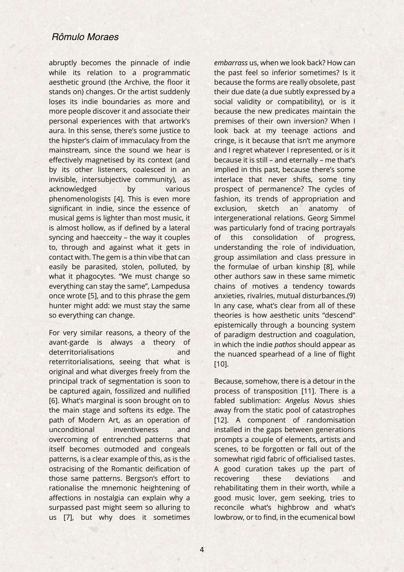abruptly becomes the pinnacle of indie while its relation to a programmatic aesthetic ground (the Archive, the floor it stands on) changes. Or the artist suddenly loses its indie boundaries as more and more people discover it and associate their personal experiences with that artwork's aura. In this sense, there's some justice to the hipster's claim of immaculacy from the mainstream, since the sound we hear is effectively magnetised by its context (and by its other listeners, coalesced in an invisible, intersubjective community), as acknowledged by various phenomenologists [4]. This is even more significant in indie, since the essence of musical gems is lighter than most music, it is almost hollow, as if defined by a lateral syncing and haecceity – the way it couples to, through and against what it gets in contact with. The gem is a thin vibe that can easily be parasited, stolen, polluted, by what it phagocytes. "We must change so everything can stay the same", Lampedusa once wrote [5], and to this phrase the gem hunter might add: we must stay the same so everything can change.

For very similar reasons, a theory of the avant-garde is always a theory of deterritorialisations and reterritorialisations, seeing that what is original and what diverges freely from the principal track of segmentation is soon to be captured again, fossilized and nullified [6]. What's marginal is soon brought on to the main stage and softens its edge. The path of Modern Art, as an operation of unconditional inventiveness and overcoming of entrenched patterns that itself becomes outmoded and congeals patterns, is a clear example of this, as is the ostracising of the Romantic deification of those same patterns. Bergson's effort to rationalise the mnemonic heightening of affections in nostalgia can explain why a surpassed past might seem so alluring to us [7], but why does it sometimes

*embarrass* us, when we look back? How can the past feel so inferior sometimes? Is it because the forms are really obsolete, past their due date (a due subtly expressed by a social validity or compatibility), or is it because the new predicates maintain the premises of their own inversion? When I look back at my teenage actions and cringe, is it because that isn't me anymore and I regret whatever I represented, or is it because it is still – and eternally – me that's implied in this past, because there's some interlace that never shifts, some tiny prospect of permanence? The cycles of fashion, its trends of appropriation and exclusion, sketch an anatomy of intergenerational relations. Georg Simmel was particularly fond of tracing portrayals of this consolidation of progress, understanding the role of individuation, group assimilation and class pressure in the formulae of urban kinship [8], while other authors saw in these same mimetic chains of motives a tendency towards anxieties, rivalries, mutual disturbances.(9) In any case, what's clear from all of these theories is how aesthetic units "descend" epistemically through a bouncing system of paradigm destruction and coagulation, in which the indie *pathos* should appear as the nuanced spearhead of a line of flight [10].

Because, somehow, there is a detour in the process of transposition [11]. There is a fabled sublimation: *Angelus Novu*s shies away from the static pool of catastrophes [12]. A component of randomisation installed in the gaps between generations prompts a couple of elements, artists and scenes, to be forgotten or fall out of the somewhat rigid fabric of officialised tastes. A good curation takes up the part of recovering these deviations and rehabilitating them in their worth, while a good music lover, gem seeking, tries to reconcile what's highbrow and what's lowbrow, or to find, in the ecumenical bowl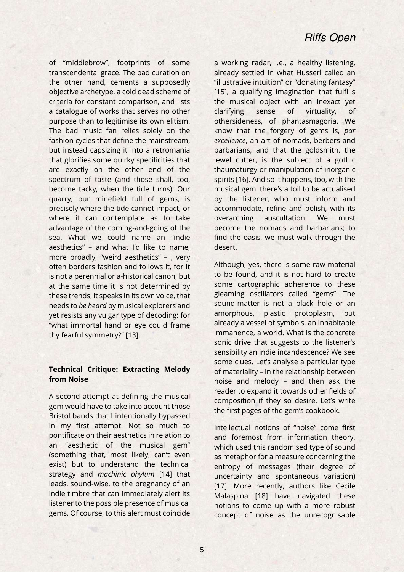of "middlebrow", footprints of some transcendental grace. The bad curation on the other hand, cements a supposedly objective archetype, a cold dead scheme of criteria for constant comparison, and lists a catalogue of works that serves no other purpose than to legitimise its own elitism. The bad music fan relies solely on the fashion cycles that define the mainstream, but instead capsizing it into a retromania that glorifies some quirky specificities that are exactly on the other end of the spectrum of taste (and those shall, too, become tacky, when the tide turns). Our quarry, our minefield full of gems, is precisely where the tide cannot impact, or where it can contemplate as to take advantage of the coming-and-going of the sea. What we could name an "indie aesthetics" – and what I'd like to name, more broadly, "weird aesthetics" – , very often borders fashion and follows it, for it is not a perennial or a-historical canon, but at the same time it is not determined by these trends, it speaks in its own voice, that needs to *be heard* by musical explorers and yet resists any vulgar type of decoding: for "what immortal hand or eye could frame thy fearful symmetry?" [13].

#### **Technical Critique: Extracting Melody from Noise**

A second attempt at defining the musical gem would have to take into account those Bristol bands that I intentionally bypassed in my first attempt. Not so much to pontificate on their aesthetics in relation to an "aesthetic of the musical gem" (something that, most likely, can't even exist) but to understand the technical strategy and *machinic phylum* [14] that leads, sound-wise, to the pregnancy of an indie timbre that can immediately alert its listener to the possible presence of musical gems. Of course, to this alert must coincide

a working radar, i.e., a healthy listening, already settled in what Husserl called an "illustrative intuition" or "donating fantasy" [15], a qualifying imagination that fulfills the musical object with an inexact yet clarifying sense of virtuality, of othersideness, of phantasmagoria. We know that the forgery of gems is, *par excellence*, an art of nomads, berbers and barbarians, and that the goldsmith, the jewel cutter, is the subject of a gothic thaumaturgy or manipulation of inorganic spirits [16]. And so it happens, too, with the musical gem: there's a toil to be actualised by the listener, who must inform and accommodate, refine and polish, with its overarching auscultation. We must become the nomads and barbarians; to find the oasis, we must walk through the desert.

Although, yes, there is some raw material to be found, and it is not hard to create some cartographic adherence to these gleaming oscillators called "gems". The sound-matter is not a black hole or an amorphous, plastic protoplasm, but already a vessel of symbols, an inhabitable immanence, a world. What is the concrete sonic drive that suggests to the listener's sensibility an indie incandescence? We see some clues. Let's analyse a particular type of materiality – in the relationship between noise and melody – and then ask the reader to expand it towards other fields of composition if they so desire. Let's write the first pages of the gem's cookbook.

Intellectual notions of "noise" come first and foremost from information theory, which used this randomised type of sound as metaphor for a measure concerning the entropy of messages (their degree of uncertainty and spontaneous variation) [17]. More recently, authors like Cecile Malaspina [18] have navigated these notions to come up with a more robust concept of noise as the unrecognisable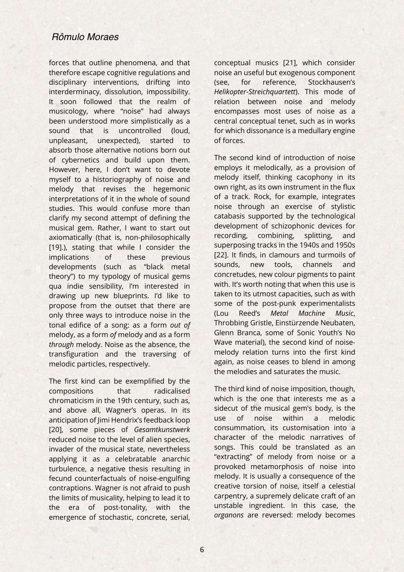forces that outline phenomena, and that therefore escape cognitive regulations and disciplinary interventions, drifting into interderminacy, dissolution, impossibility. It soon followed that the realm of musicology, where "noise" had always been understood more simplistically as a sound that is uncontrolled (loud, unpleasant, unexpected), started to absorb those alternative notions born out of cybernetics and build upon them. However, here, I don't want to devote myself to a historiography of noise and melody that revises the hegemonic interpretations of it in the whole of sound studies. This would confuse more than clarify my second attempt of defining the musical gem. Rather, I want to start out axiomatically (that is, non-philosophically [19].), stating that while I consider the implications of these previous developments (such as "black metal theory") to my typology of musical gems qua indie sensibility, I'm interested in drawing up new blueprints. I'd like to propose from the outset that there are only three ways to introduce noise in the tonal edifice of a song: as a form *out of* melody, as a form *of* melody and as a form *through* melody. Noise as the absence, the transfiguration and the traversing of melodic particles, respectively.

The first kind can be exemplified by the compositions that radicalised chromaticism in the 19th century, such as, and above all, Wagner's operas. In its anticipation of Jimi Hendrix's feedback loop [20], some pieces of *Gesamtkunstwerk* reduced noise to the level of alien species, invader of the musical state, nevertheless applying it as a celebratable anarchic turbulence, a negative thesis resulting in fecund counterfactuals of noise-engulfing contraptions. Wagner is not afraid to push the limits of musicality, helping to lead it to the era of post-tonality, with the emergence of stochastic, concrete, serial,

conceptual musics [21], which consider noise an useful but exogenous component (see, for reference, Stockhausen's *Helikopter-Streichquartett*). This mode of relation between noise and melody encompasses most uses of noise as a central conceptual tenet, such as in works for which dissonance is a medullary engine of forces.

The second kind of introduction of noise employs it melodically, as a provision of melody itself, thinking cacophony in its own right, as its own instrument in the flux of a track. Rock, for example, integrates noise through an exercise of stylistic catabasis supported by the technological development of schizophonic devices for recording, combining, splitting, and superposing tracks in the 1940s and 1950s [22]. It finds, in clamours and turmoils of sounds, new tools, channels and concretudes, new colour pigments to paint with. It's worth noting that when this use is taken to its utmost capacities, such as with some of the post-punk experimentalists (Lou Reed's *Metal Machine Music*, Throbbing Gristle, Einstürzende Neubaten, Glenn Branca, some of Sonic Youth's No Wave material), the second kind of noisemelody relation turns into the first kind again, as noise ceases to blend in among the melodies and saturates the music.

The third kind of noise imposition, though, which is the one that interests me as a sidecut of the musical gem's body, is the use of noise within a melodic consummation, its customisation into a character of the melodic narratives of songs. This could be translated as an "extracting" of melody from noise or a provoked metamorphosis of noise into melody. It is usually a consequence of the creative torsion of noise, itself a celestial carpentry, a supremely delicate craft of an unstable ingredient. In this case, the *organons* are reversed: melody becomes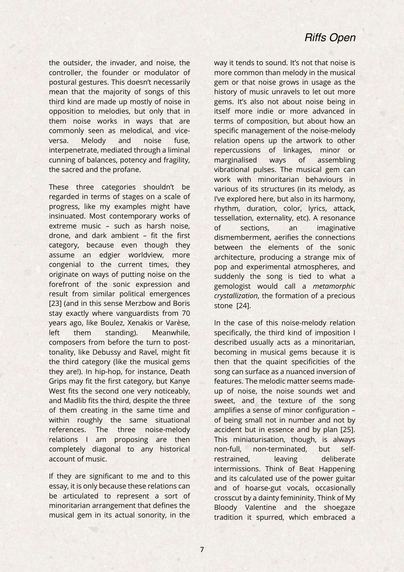the outsider, the invader, and noise, the controller, the founder or modulator of postural gestures. This doesn't necessarily mean that the majority of songs of this third kind are made up mostly of noise in opposition to melodies, but only that in them noise works in ways that are commonly seen as melodical, and viceversa. Melody and noise fuse, interpenetrate, mediated through a liminal cunning of balances, potency and fragility, the sacred and the profane.

These three categories shouldn't be regarded in terms of stages on a scale of progress, like my examples might have insinuated. Most contemporary works of extreme music – such as harsh noise, drone, and dark ambient – fit the first category, because even though they assume an edgier worldview, more congenial to the current times, they originate on ways of putting noise on the forefront of the sonic expression and result from similar political emergences [23] (and in this sense Merzbow and Boris stay exactly where vanguardists from 70 years ago, like Boulez, Xenakis or Varèse, left them standing). Meanwhile, composers from before the turn to posttonality, like Debussy and Ravel, might fit the third category (like the musical gems they are!). In hip-hop, for instance, Death Grips may fit the first category, but Kanye West fits the second one very noticeably, and Madlib fits the third, despite the three of them creating in the same time and within roughly the same situational references. The three noise-melody relations I am proposing are then completely diagonal to any historical account of music.

If they are significant to me and to this essay, it is only because these relations can be articulated to represent a sort of minoritarian arrangement that defines the musical gem in its actual sonority, in the

way it tends to sound. It's not that noise is more common than melody in the musical gem or that noise grows in usage as the history of music unravels to let out more gems. It's also not about noise being in itself more indie or more advanced in terms of composition, but about how an specific management of the noise-melody relation opens up the artwork to other repercussions of linkages, minor or marginalised ways of assembling vibrational pulses. The musical gem can work with minoritarian behaviours in various of its structures (in its melody, as I've explored here, but also in its harmony, rhythm, duration, color, lyrics, attack, tessellation, externality, etc). A resonance of sections, an imaginative dismemberment, aerifies the connections between the elements of the sonic architecture, producing a strange mix of pop and experimental atmospheres, and suddenly the song is tied to what a gemologist would call a *metamorphic crystallization*, the formation of a precious stone [24].

In the case of this noise-melody relation specifically, the third kind of imposition I described usually acts as a minoritarian, becoming in musical gems because it is then that the quaint specificities of the song can surface as a nuanced inversion of features. The melodic matter seems madeup of noise, the noise sounds wet and sweet, and the texture of the song amplifies a sense of minor configuration – of being small not in number and not by accident but in essence and by plan [25]. This miniaturisation, though, is always non-full, non-terminated, but selfrestrained. leaving deliberate intermissions. Think of Beat Happening and its calculated use of the power guitar and of hoarse-gut vocals, occasionally crosscut by a dainty femininity. Think of My Bloody Valentine and the shoegaze tradition it spurred, which embraced a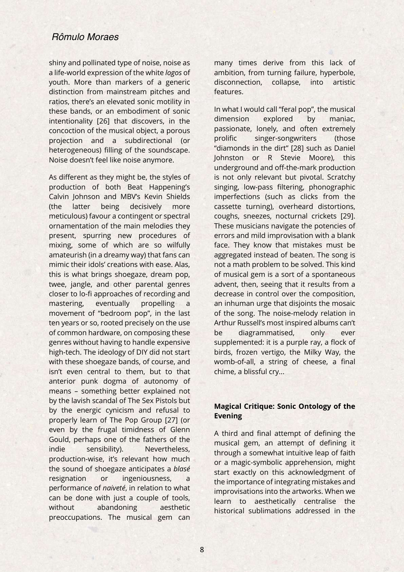shiny and pollinated type of noise, noise as a life-world expression of the white *logos* of youth. More than markers of a generic distinction from mainstream pitches and ratios, there's an elevated sonic motility in these bands, or an embodiment of sonic intentionality [26] that discovers, in the concoction of the musical object, a porous projection and a subdirectional (or heterogeneous) filling of the soundscape. Noise doesn't feel like noise anymore.

As different as they might be, the styles of production of both Beat Happening's Calvin Johnson and MBV's Kevin Shields (the latter being decisively more meticulous) favour a contingent or spectral ornamentation of the main melodies they present, spurring new procedures of mixing, some of which are so wilfully amateurish (in a dreamy way) that fans can mimic their idols' creations with ease. Alas, this is what brings shoegaze, dream pop, twee, jangle, and other parental genres closer to lo-fi approaches of recording and mastering, eventually propelling a movement of "bedroom pop", in the last ten years or so, rooted precisely on the use of common hardware, on composing these genres without having to handle expensive high-tech. The ideology of DIY did not start with these shoegaze bands, of course, and isn't even central to them, but to that anterior punk dogma of autonomy of means – something better explained not by the lavish scandal of The Sex Pistols but by the energic cynicism and refusal to properly learn of The Pop Group [27] (or even by the frugal timidness of Glenn Gould, perhaps one of the fathers of the indie sensibility). Nevertheless, production-wise, it's relevant how much the sound of shoegaze anticipates a *blasé* resignation or ingeniousness, performance of *naiveté*, in relation to what can be done with just a couple of tools, without abandoning aesthetic preoccupations. The musical gem can

many times derive from this lack of ambition, from turning failure, hyperbole, disconnection, collapse, into artistic features.

In what I would call "feral pop", the musical dimension explored by maniac, passionate, lonely, and often extremely prolific singer-songwriters (those "diamonds in the dirt" [28] such as Daniel Johnston or R Stevie Moore), this underground and off-the-mark production is not only relevant but pivotal. Scratchy singing, low-pass filtering, phonographic imperfections (such as clicks from the cassette turning), overheard distortions, coughs, sneezes, nocturnal crickets [29]. These musicians navigate the potencies of errors and mild improvisation with a blank face. They know that mistakes must be aggregated instead of beaten. The song is not a math problem to be solved. This kind of musical gem is a sort of a spontaneous advent, then, seeing that it results from a decrease in control over the composition, an inhuman urge that disjoints the mosaic of the song. The noise-melody relation in Arthur Russell's most inspired albums can't be diagrammatised, only ever supplemented: it is a purple ray, a flock of birds, frozen vertigo, the Milky Way, the womb-of-all, a string of cheese, a final chime, a blissful cry...

#### **Magical Critique: Sonic Ontology of the Evening**

A third and final attempt of defining the musical gem, an attempt of defining it through a somewhat intuitive leap of faith or a magic-symbolic apprehension, might start exactly on this acknowledgment of the importance of integrating mistakes and improvisations into the artworks. When we learn to aesthetically centralise the historical sublimations addressed in the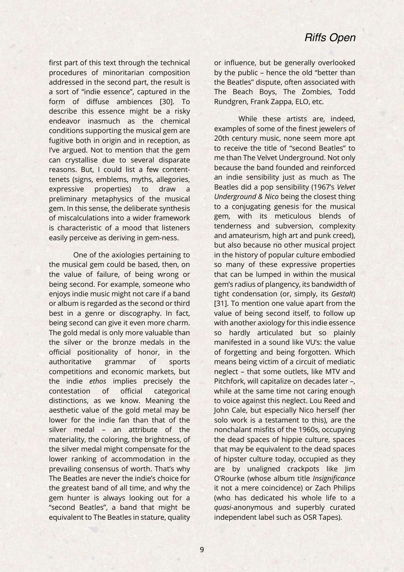first part of this text through the technical procedures of minoritarian composition addressed in the second part, the result is a sort of "indie essence", captured in the form of diffuse ambiences [30]. To describe this essence might be a risky endeavor inasmuch as the chemical conditions supporting the musical gem are fugitive both in origin and in reception, as I've argued. Not to mention that the gem can crystallise due to several disparate reasons. But, I could list a few contenttenets (signs, emblems, myths, allegories, expressive properties) to draw a preliminary metaphysics of the musical gem. In this sense, the deliberate synthesis of miscalculations into a wider framework is characteristic of a mood that listeners easily perceive as deriving in gem-ness.

One of the axiologies pertaining to the musical gem could be based, then, on the value of failure, of being wrong or being second. For example, someone who enjoys indie music might not care if a band or album is regarded as the second or third best in a genre or discography. In fact, being second can give it even more charm. The gold medal is only more valuable than the silver or the bronze medals in the official positionality of honor, in the authoritative grammar of sports competitions and economic markets, but the indie *ethos* implies precisely the contestation of official categorical distinctions, as we know. Meaning the aesthetic value of the gold metal may be lower for the indie fan than that of the silver medal – an attribute of the materiality, the coloring, the brightness, of the silver medal might compensate for the lower ranking of accommodation in the prevailing consensus of worth. That's why The Beatles are never the indie's choice for the greatest band of all time, and why the gem hunter is always looking out for a "second Beatles", a band that might be equivalent to The Beatles in stature, quality

or influence, but be generally overlooked by the public – hence the old "better than the Beatles" dispute, often associated with The Beach Boys, The Zombies, Todd Rundgren, Frank Zappa, ELO, etc.

While these artists are, indeed, examples of some of the finest jewelers of 20th century music, none seem more apt to receive the title of "second Beatles" to me than The Velvet Underground. Not only because the band founded and reinforced an indie sensibility just as much as The Beatles did a pop sensibility (1967's *Velvet Underground & Nico* being the closest thing to a conjugating genesis for the musical gem, with its meticulous blends of tenderness and subversion, complexity and amateurism, high art and punk creed), but also because no other musical project in the history of popular culture embodied so many of these expressive properties that can be lumped in within the musical gem's radius of plangency, its bandwidth of tight condensation (or, simply, its *Gestalt*) [31]. To mention one value apart from the value of being second itself, to follow up with another axiology for this indie essence so hardly articulated but so plainly manifested in a sound like VU's: the value of forgetting and being forgotten. Which means being victim of a circuit of mediatic neglect – that some outlets, like MTV and Pitchfork, will capitalize on decades later –, while at the same time not caring enough to voice against this neglect. Lou Reed and John Cale, but especially Nico herself (her solo work is a testament to this), are the nonchalant misfits of the 1960s, occupying the dead spaces of hippie culture, spaces that may be equivalent to the dead spaces of hipster culture today, occupied as they are by unaligned crackpots like Jim O'Rourke (whose album title *Insignificance* it not a mere coincidence) or Zach Philips (who has dedicated his whole life to a *quasi*-anonymous and superbly curated independent label such as OSR Tapes).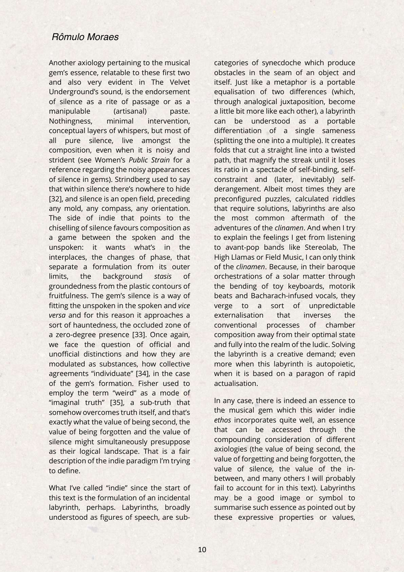Another axiology pertaining to the musical gem's essence, relatable to these first two and also very evident in The Velvet Underground's sound, is the endorsement of silence as a rite of passage or as a manipulable (artisanal) paste. Nothingness, minimal intervention, conceptual layers of whispers, but most of all pure silence, live amongst the composition, even when it is noisy and strident (see Women's *Public Strain* for a reference regarding the noisy appearances of silence in gems). Strindberg used to say that within silence there's nowhere to hide [32], and silence is an open field, preceding any mold, any compass, any orientation. The side of indie that points to the chiselling of silence favours composition as a game between the spoken and the unspoken: it wants what's in the interplaces, the changes of phase, that separate a formulation from its outer limits, the background *stasis* of groundedness from the plastic contours of fruitfulness. The gem's silence is a way of fitting the unspoken in the spoken and *vice versa* and for this reason it approaches a sort of hauntedness, the occluded zone of a zero-degree presence [33]. Once again, we face the question of official and unofficial distinctions and how they are modulated as substances, how collective agreements "individuate" [34], in the case of the gem's formation. Fisher used to employ the term "weird" as a mode of "imaginal truth" [35], a sub-truth that somehow overcomes truth itself, and that's exactly what the value of being second, the value of being forgotten and the value of silence might simultaneously presuppose as their logical landscape. That is a fair description of the indie paradigm I'm trying to define.

What I've called "indie" since the start of this text is the formulation of an incidental labyrinth, perhaps. Labyrinths, broadly understood as figures of speech, are subcategories of synecdoche which produce obstacles in the seam of an object and itself. Just like a metaphor is a portable equalisation of two differences (which, through analogical juxtaposition, become a little bit more like each other), a labyrinth can be understood as a portable differentiation of a single sameness (splitting the one into a multiple). It creates folds that cut a straight line into a twisted path, that magnify the streak until it loses its ratio in a spectacle of self-binding, selfconstraint and (later, inevitably) selfderangement. Albeit most times they are preconfigured puzzles, calculated riddles that require solutions, labyrinths are also the most common aftermath of the adventures of the *clinamen*. And when I try to explain the feelings I get from listening to avant-pop bands like Stereolab, The High Llamas or Field Music, I can only think of the *clinamen*. Because, in their baroque orchestrations of a solar matter through the bending of toy keyboards, motorik beats and Bacharach-infused vocals, they verge to a sort of unpredictable externalisation that inverses the conventional processes of chamber composition away from their optimal state and fully into the realm of the ludic. Solving the labyrinth is a creative demand; even more when this labyrinth is autopoietic, when it is based on a paragon of rapid actualisation.

In any case, there is indeed an essence to the musical gem which this wider indie *ethos* incorporates quite well, an essence that can be accessed through the compounding consideration of different axiologies (the value of being second, the value of forgetting and being forgotten, the value of silence, the value of the inbetween, and many others I will probably fail to account for in this text). Labyrinths may be a good image or symbol to summarise such essence as pointed out by these expressive properties or values,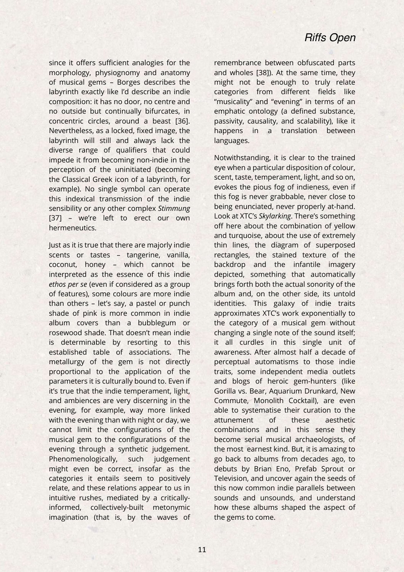since it offers sufficient analogies for the morphology, physiognomy and anatomy of musical gems – Borges describes the labyrinth exactly like I'd describe an indie composition: it has no door, no centre and no outside but continually bifurcates, in concentric circles, around a beast [36]. Nevertheless, as a locked, fixed image, the labyrinth will still and always lack the diverse range of qualifiers that could impede it from becoming non-indie in the perception of the uninitiated (becoming the Classical Greek icon of a labyrinth, for example). No single symbol can operate this indexical transmission of the indie sensibility or any other complex *Stimmung* [37] – we're left to erect our own hermeneutics.

Just as it is true that there are majorly indie scents or tastes – tangerine, vanilla, coconut, honey – which cannot be interpreted as the essence of this indie *ethos per se* (even if considered as a group of features), some colours are more indie than others – let's say, a pastel or punch shade of pink is more common in indie album covers than a bubblegum or rosewood shade. That doesn't mean indie is determinable by resorting to this established table of associations. The metallurgy of the gem is not directly proportional to the application of the parameters it is culturally bound to. Even if it's true that the indie temperament, light, and ambiences are very discerning in the evening, for example, way more linked with the evening than with night or day, we cannot limit the configurations of the musical gem to the configurations of the evening through a synthetic judgement. Phenomenologically, such judgement might even be correct, insofar as the categories it entails seem to positively relate, and these relations appear to us in intuitive rushes, mediated by a criticallyinformed, collectively-built metonymic imagination (that is, by the waves of

remembrance between obfuscated parts and wholes [38]). At the same time, they might not be enough to truly relate categories from different fields like "musicality" and "evening" in terms of an emphatic ontology (a defined substance, passivity, causality, and scalability), like it happens in a translation between languages.

Notwithstanding, it is clear to the trained eye when a particular disposition of colour, scent, taste, temperament, light, and so on, evokes the pious fog of indieness, even if this fog is never grabbable, never close to being enunciated, never properly at-hand. Look at XTC's *Skylarking*. There's something off here about the combination of yellow and turquoise, about the use of extremely thin lines, the diagram of superposed rectangles, the stained texture of the backdrop and the infantile imagery depicted, something that automatically brings forth both the actual sonority of the album and, on the other side, its untold identities. This galaxy of indie traits approximates XTC's work exponentially to the category of a musical gem without changing a single note of the sound itself; it all curdles in this single unit of awareness. After almost half a decade of perceptual automatisms to those indie traits, some independent media outlets and blogs of heroic gem-hunters (like Gorilla vs. Bear, Aquarium Drunkard, New Commute, Monolith Cocktail), are even able to systematise their curation to the attunement of these aesthetic combinations and in this sense they become serial musical archaeologists, of the most earnest kind. But, it is amazing to go back to albums from decades ago, to debuts by Brian Eno, Prefab Sprout or Television, and uncover again the seeds of this now common indie parallels between sounds and unsounds, and understand how these albums shaped the aspect of the gems to come.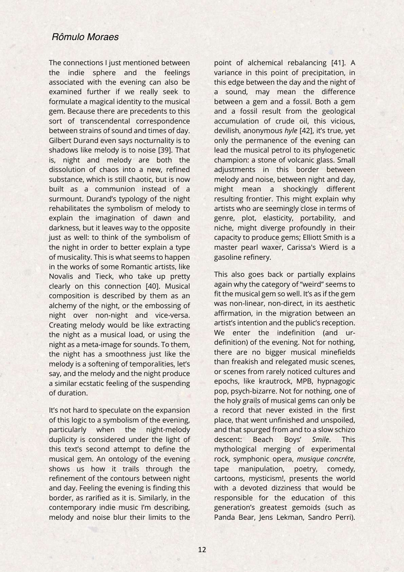The connections I just mentioned between the indie sphere and the feelings associated with the evening can also be examined further if we really seek to formulate a magical identity to the musical gem. Because there are precedents to this sort of transcendental correspondence between strains of sound and times of day. Gilbert Durand even says nocturnality is to shadows like melody is to noise [39]. That is, night and melody are both the dissolution of chaos into a new, refined substance, which is still chaotic, but is now built as a communion instead of a surmount. Durand's typology of the night rehabilitates the symbolism of melody to explain the imagination of dawn and darkness, but it leaves way to the opposite just as well: to think of the symbolism of the night in order to better explain a type of musicality. This is what seems to happen in the works of some Romantic artists, like Novalis and Tieck, who take up pretty clearly on this connection [40]. Musical composition is described by them as an alchemy of the night, or the embossing of night over non-night and vice-versa. Creating melody would be like extracting the night as a musical load, or using the night as a meta-image for sounds. To them, the night has a smoothness just like the melody is a softening of temporalities, let's say, and the melody and the night produce a similar ecstatic feeling of the suspending of duration.

It's not hard to speculate on the expansion of this logic to a symbolism of the evening, particularly when the night-melody duplicity is considered under the light of this text's second attempt to define the musical gem. An ontology of the evening shows us how it trails through the refinement of the contours between night and day. Feeling the evening is finding this border, as rarified as it is. Similarly, in the contemporary indie music I'm describing, melody and noise blur their limits to the

point of alchemical rebalancing [41]. A variance in this point of precipitation, in this edge between the day and the night of a sound, may mean the difference between a gem and a fossil. Both a gem and a fossil result from the geological accumulation of crude oil, this vicious, devilish, anonymous *hyle* [42], it's true, yet only the permanence of the evening can lead the musical petrol to its phylogenetic champion: a stone of volcanic glass. Small adjustments in this border between melody and noise, between night and day, might mean a shockingly different resulting frontier. This might explain why artists who are seemingly close in terms of genre, plot, elasticity, portability, and niche, might diverge profoundly in their capacity to produce gems; Elliott Smith is a master pearl waxer, Carissa's Wierd is a gasoline refinery.

This also goes back or partially explains again why the category of "weird" seems to fit the musical gem so well. It's as if the gem was non-linear, non-direct, in its aesthetic affirmation, in the migration between an artist's intention and the public's reception. We enter the indefinition (and urdefinition) of the evening. Not for nothing, there are no bigger musical minefields than freakish and relegated music scenes, or scenes from rarely noticed cultures and epochs, like krautrock, MPB, hypnagogic pop, psych-bizarre. Not for nothing, one of the holy grails of musical gems can only be a record that never existed in the first place, that went unfinished and unspoiled, and that spurged from and to a slow schizo descent: Beach Boys' *Smile*. This mythological merging of experimental rock, symphonic opera, *musique concréte*, tape manipulation, poetry, comedy, cartoons, mysticism!, presents the world with a devoted dizziness that would be responsible for the education of this generation's greatest gemoids (such as Panda Bear, Jens Lekman, Sandro Perri).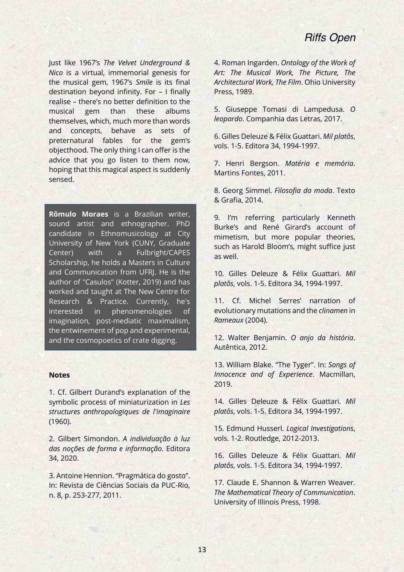Just like 1967's *The Velvet Underground & Nico* is a virtual, immemorial genesis for the musical gem, 1967's *Smile* is its final destination beyond infinity. For – I finally realise – there's no better definition to the musical gem than these albums themselves, which, much more than words and concepts, behave as sets of preternatural fables for the gem's objecthood. The only thing I can offer is the advice that you go listen to them now, hoping that this magical aspect is suddenly sensed.

**Rômulo Moraes** is a Brazilian writer, sound artist and ethnographer. PhD candidate in Ethnomusicology at City University of New York (CUNY, Graduate Center) with a Fulbright/CAPES Scholarship, he holds a Masters in Culture and Communication from UFRJ. He is the author of "Casulos" (Kotter, 2019) and has worked and taught at The New Centre for Research & Practice. Currently, he's interested in phenomenologies of imagination, post-mediatic maximalism, the entwinement of pop and experimental, and the cosmopoetics of crate digging.

#### **Notes**

1. Cf. Gilbert Durand's explanation of the symbolic process of miniaturization in *Les structures anthropologiques de l'imaginaire* (1960).

2. Gilbert Simondon. *A individuação à luz das noções de forma e informação*. Editora 34, 2020.

3. Antoine Hennion. "Pragmática do gosto". In: Revista de Ciências Sociais da PUC-Rio, n. 8, p. 253-277, 2011.

4. Roman Ingarden. *Ontology of the Work of Art: The Musical Work, The Picture, The Architectural Work, The Film*. Ohio University Press, 1989.

5. Giuseppe Tomasi di Lampedusa. *O leopardo*. Companhia das Letras, 2017.

6. Gilles Deleuze & Félix Guattari. *Mil platôs*, vols. 1-5. Editora 34, 1994-1997.

7. Henri Bergson. *Matéria e memória*. Martins Fontes, 2011.

8. Georg Simmel. *Filosofia da moda*. Texto & Grafia, 2014.

9. I'm referring particularly Kenneth Burke's and René Girard's account of mimetism, but more popular theories, such as Harold Bloom's, might suffice just as well.

10. Gilles Deleuze & Félix Guattari. *Mil platôs*, vols. 1-5. Editora 34, 1994-1997.

11. Cf. Michel Serres' narration of evolutionary mutations and the *clinamen* in *Rameaux* (2004).

12. Walter Benjamin. *O anjo da história*. Autêntica, 2012.

13. William Blake. "The Tyger". In: *Songs of Innocence and of Experience*. Macmillan, 2019.

14. Gilles Deleuze & Félix Guattari. *Mil platôs*, vols. 1-5. Editora 34, 1994-1997.

15. Edmund Husserl. *Logical Investigations*, vols. 1-2. Routledge, 2012-2013.

16. Gilles Deleuze & Félix Guattari. *Mil platôs*, vols. 1-5. Editora 34, 1994-1997.

17. Claude E. Shannon & Warren Weaver. *The Mathematical Theory of Communication*. University of Illinois Press, 1998.